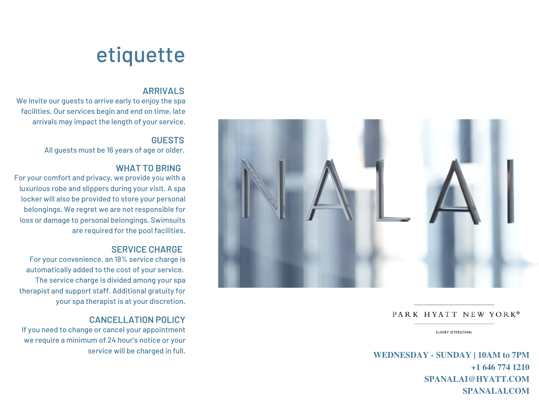# etiquette

## **ARRIVALS**

We invite our guests to arrive early to enjoy the spa facilities. Our services begin and end on time, late arrivals may impact the length of your service.

## **GUESTS**

All guests must be 16 years of age or older.

# **WHAT TO BRING**

For your comfort and privacy, we provide you with a luxurious robe and slippers during your visit. A spa locker will also be provided to store your personal belongings. We regret we are not responsible for loss or damage to personal belongings. Swimsuits are required for the pool facilities.

# **SERVICE CHARGE**

For your convenience, an 18% service charge is automatically added to the cost of your service. The service charge is divided among your spa therapist and support staff. Additional gratuity for your spa therapist is at your discretion.

# **CANCELLATION POLICY**

If you need to change or cancel your appointment we require a minimum of 24 hour's notice or your



# PARK HYATT NEW YORK®

LUXURY IS PERSONAL

service will be charged in full. **WEDNESDAY - SUNDAY <sup>|</sup> 10AM to 7PM +1 646 774 1210 SPANALAI@HYATT.COM SPANALAI.COM**